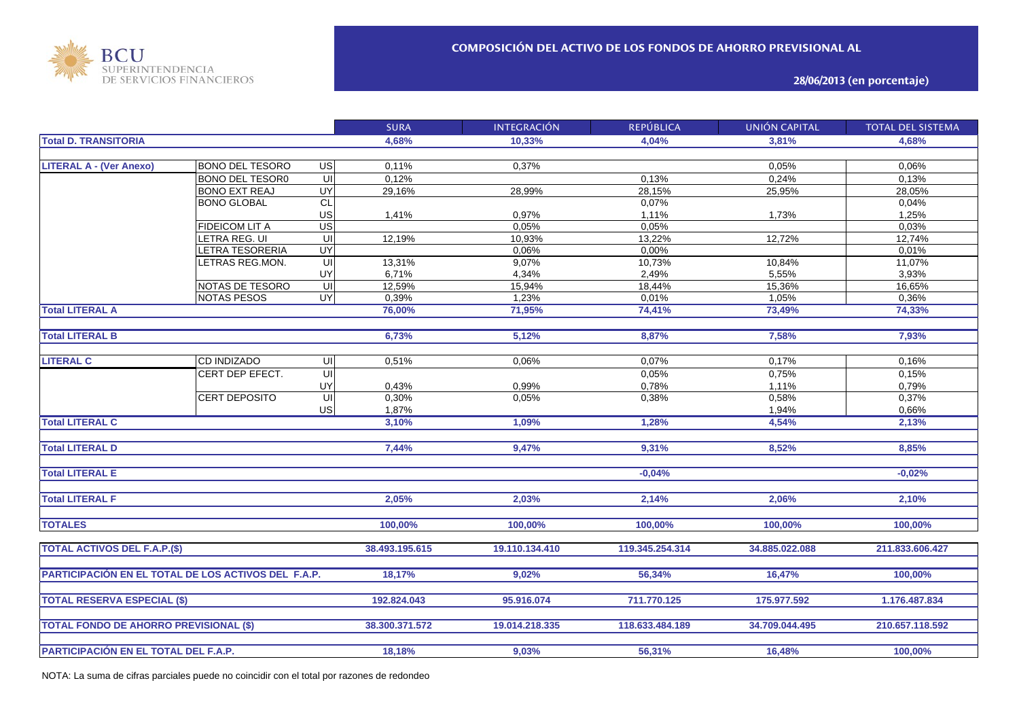

**28/06/2013 (en porcentaje)**

|                                                     |                        |                         | <b>SURA</b>    | <b>INTEGRACIÓN</b> | <b>REPÚBLICA</b> | <b>UNIÓN CAPITAL</b> | <b>TOTAL DEL SISTEMA</b> |
|-----------------------------------------------------|------------------------|-------------------------|----------------|--------------------|------------------|----------------------|--------------------------|
| <b>Total D. TRANSITORIA</b>                         |                        |                         | 4,68%          | 10,33%             | 4,04%            | 3,81%                | 4,68%                    |
|                                                     |                        |                         |                |                    |                  |                      |                          |
| <b>LITERAL A - (Ver Anexo)</b>                      | <b>BONO DEL TESORO</b> | <b>US</b>               | 0,11%          | 0,37%              |                  | 0,05%                | 0,06%                    |
|                                                     | <b>BONO DEL TESORO</b> | $\overline{\mathsf{U}}$ | 0,12%          |                    | 0,13%            | 0,24%                | 0,13%                    |
|                                                     | <b>BONO EXT REAJ</b>   | <b>UY</b>               | 29,16%         | 28,99%             | 28,15%           | 25,95%               | 28,05%                   |
|                                                     | <b>BONO GLOBAL</b>     | CL                      |                |                    | 0,07%            |                      | 0,04%                    |
|                                                     |                        | US                      | 1,41%          | 0,97%              | 1,11%            | 1,73%                | 1,25%                    |
|                                                     | FIDEICOM LIT A         | US                      |                | 0,05%              | 0,05%            |                      | 0,03%                    |
|                                                     | LETRA REG. UI          | $\overline{\mathsf{u}}$ | 12,19%         | 10,93%             | 13,22%           | 12,72%               | 12,74%                   |
|                                                     | LETRA TESORERIA        | UY                      |                | 0,06%              | 0,00%            |                      | 0,01%                    |
|                                                     | LETRAS REG.MON.        | $\overline{U}$          | 13,31%         | 9,07%              | 10,73%           | 10,84%               | 11,07%                   |
|                                                     |                        | UY                      | 6,71%          | 4,34%              | 2,49%            | 5,55%                | 3,93%                    |
|                                                     | NOTAS DE TESORO        | $\overline{\mathsf{U}}$ | 12,59%         | 15,94%             | 18,44%           | 15,36%               | 16,65%                   |
|                                                     | <b>NOTAS PESOS</b>     | UY                      | 0,39%          | 1,23%              | 0,01%            | 1,05%                | 0,36%                    |
| <b>Total LITERAL A</b>                              |                        |                         | 76,00%         | 71,95%             | 74,41%           | 73,49%               | 74,33%                   |
|                                                     |                        |                         |                |                    |                  |                      |                          |
| <b>Total LITERAL B</b>                              |                        |                         | 6,73%          | 5,12%              | 8,87%            | 7,58%                | 7,93%                    |
|                                                     |                        |                         |                |                    |                  |                      |                          |
| <b>LITERAL C</b>                                    | <b>CD INDIZADO</b>     | UI                      | 0,51%          | 0,06%              | 0,07%            | 0,17%                | 0,16%                    |
|                                                     | CERT DEP EFECT.        | $\overline{\mathsf{U}}$ |                |                    | 0,05%            | 0,75%                | 0,15%                    |
|                                                     |                        | UY                      | 0,43%          | 0.99%              | 0,78%            | 1,11%                | 0,79%                    |
|                                                     | <b>CERT DEPOSITO</b>   | 듸                       | 0,30%          | 0,05%              | 0,38%            | 0,58%                | 0,37%                    |
|                                                     |                        | US                      | 1,87%          |                    |                  | 1,94%                | 0,66%                    |
| <b>Total LITERAL C</b>                              |                        |                         | 3,10%          | 1,09%              | 1,28%            | 4,54%                | 2,13%                    |
|                                                     |                        |                         |                |                    |                  |                      |                          |
| <b>Total LITERAL D</b>                              |                        |                         | 7,44%          | 9,47%              | 9,31%            | 8,52%                | 8,85%                    |
|                                                     |                        |                         |                |                    |                  |                      |                          |
| <b>Total LITERAL E</b>                              |                        |                         |                |                    | $-0.04%$         |                      | $-0.02%$                 |
|                                                     |                        |                         |                |                    |                  |                      |                          |
| <b>Total LITERAL F</b>                              |                        |                         | 2.05%          | 2,03%              | 2,14%            | 2,06%                | 2,10%                    |
|                                                     |                        |                         |                |                    |                  |                      |                          |
| <b>TOTALES</b>                                      |                        |                         | 100,00%        | 100,00%            | 100,00%          | 100,00%              | 100,00%                  |
|                                                     |                        |                         |                |                    |                  |                      |                          |
| <b>TOTAL ACTIVOS DEL F.A.P.(\$)</b>                 |                        |                         | 38.493.195.615 | 19.110.134.410     | 119.345.254.314  | 34.885.022.088       | 211.833.606.427          |
|                                                     |                        |                         |                |                    |                  |                      |                          |
| PARTICIPACIÓN EN EL TOTAL DE LOS ACTIVOS DEL F.A.P. |                        |                         | 18,17%         | 9,02%              | 56,34%           | 16,47%               | 100,00%                  |
|                                                     |                        |                         |                |                    |                  |                      |                          |
| <b>TOTAL RESERVA ESPECIAL (\$)</b>                  |                        |                         | 192.824.043    | 95.916.074         | 711.770.125      | 175.977.592          | 1.176.487.834            |
|                                                     |                        |                         |                |                    |                  |                      |                          |
| <b>TOTAL FONDO DE AHORRO PREVISIONAL (\$)</b>       |                        |                         | 38.300.371.572 | 19.014.218.335     | 118.633.484.189  | 34.709.044.495       | 210.657.118.592          |
|                                                     |                        |                         | 18,18%         | 9,03%              | 56,31%           | 16,48%               | 100,00%                  |
| PARTICIPACIÓN EN EL TOTAL DEL F.A.P.                |                        |                         |                |                    |                  |                      |                          |

NOTA: La suma de cifras parciales puede no coincidir con el total por razones de redondeo